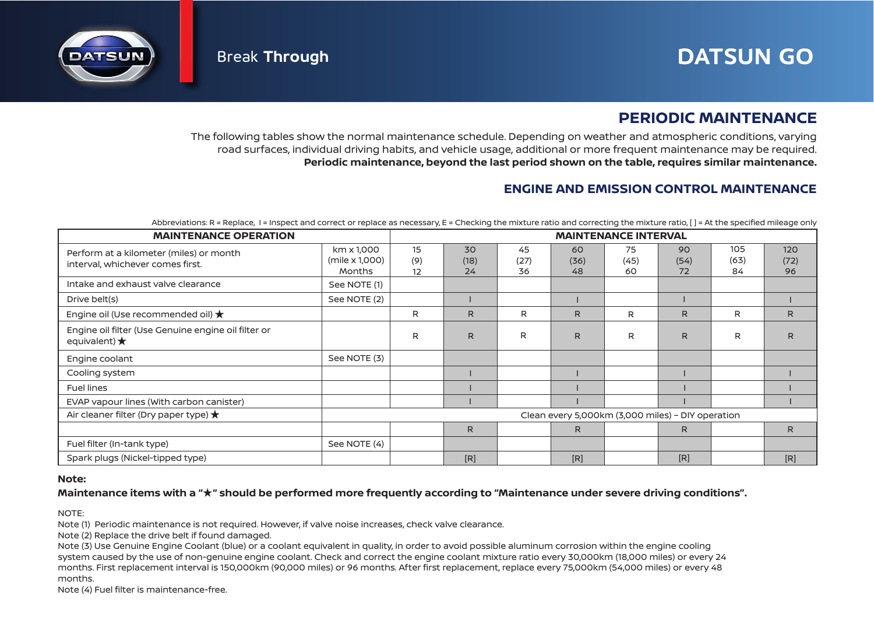

# **PERIODIC MAINTENANCE**

The following tables show the normal maintenance schedule. Depending on weather and atmospheric conditions, varying road surfaces, individual driving habits, and vehicle usage, additional or more frequent maintenance may be required. **Periodic maintenance, beyond the last period shown on the table, requires similar maintenance.**

## **ENGINE AND EMISSION CONTROL MAINTENANCE**

| Abbreviations: R = Replace, I = Inspect and correct or replace as necessary, E = Checking the mixture ratio and correcting the mixture ratio, [] = At the specified mileage only |
|----------------------------------------------------------------------------------------------------------------------------------------------------------------------------------|
|----------------------------------------------------------------------------------------------------------------------------------------------------------------------------------|

| <b>MAINTENANCE OPERATION</b>                                                  | <b>MAINTENANCE INTERVAL</b>                       |                 |                  |                  |                  |                  |                  |                   |                   |
|-------------------------------------------------------------------------------|---------------------------------------------------|-----------------|------------------|------------------|------------------|------------------|------------------|-------------------|-------------------|
| Perform at a kilometer (miles) or month<br>interval, whichever comes first.   | km x 1,000<br>(mile x 1,000)<br><b>Months</b>     | 15<br>(9)<br>12 | 30<br>(18)<br>24 | 45<br>(27)<br>36 | 60<br>(36)<br>48 | 75<br>(45)<br>60 | 90<br>(54)<br>72 | 105<br>(63)<br>84 | 120<br>(72)<br>96 |
| Intake and exhaust valve clearance                                            | See NOTE (1)                                      |                 |                  |                  |                  |                  |                  |                   |                   |
| Drive belt(s)                                                                 | See NOTE (2)                                      |                 |                  |                  |                  |                  |                  |                   |                   |
| Engine oil (Use recommended oil) $\bigstar$                                   |                                                   | R               | R                | R                | R                | R                | R.               | R                 | R                 |
| Engine oil filter (Use Genuine engine oil filter or<br>equivalent) $\bigstar$ |                                                   | R               | R.               | R                | R                | R                | R.               | R                 | R                 |
| Engine coolant                                                                | See NOTE (3)                                      |                 |                  |                  |                  |                  |                  |                   |                   |
| Cooling system                                                                |                                                   |                 |                  |                  |                  |                  |                  |                   |                   |
| <b>Fuel lines</b>                                                             |                                                   |                 |                  |                  |                  |                  |                  |                   |                   |
| EVAP vapour lines (With carbon canister)                                      |                                                   |                 |                  |                  |                  |                  |                  |                   |                   |
| Air cleaner filter (Dry paper type) $\bigstar$                                | Clean every 5,000km (3,000 miles) - DIY operation |                 |                  |                  |                  |                  |                  |                   |                   |
|                                                                               |                                                   |                 | $\mathsf{R}$     |                  | R.               |                  | R                |                   | R                 |
| Fuel filter (In-tank type)                                                    | See NOTE (4)                                      |                 |                  |                  |                  |                  |                  |                   |                   |
| Spark plugs (Nickel-tipped type)                                              |                                                   |                 | [R]              |                  | [R]              |                  | [R]              |                   | [R]               |

### **Note:**

### **Maintenance items with a " " should be performed more frequently according to "Maintenance under severe driving conditions".** ★

NOTE:

Note (1) Periodic maintenance is not required. However, if valve noise increases, check valve clearance.

Note (2) Replace the drive belt if found damaged.

Note (3) Use Genuine Engine Coolant (blue) or a coolant equivalent in quality, in order to avoid possible aluminum corrosion within the engine cooling system caused by the use of non-genuine engine coolant. Check and correct the engine coolant mixture ratio every 30,000km (18,000 miles) or every 24 months. First replacement interval is 150,000km (90,000 miles) or 96 months. After first replacement, replace every 75,000km (54,000 miles) or every 48 months.

Note (4) Fuel filter is maintenance-free.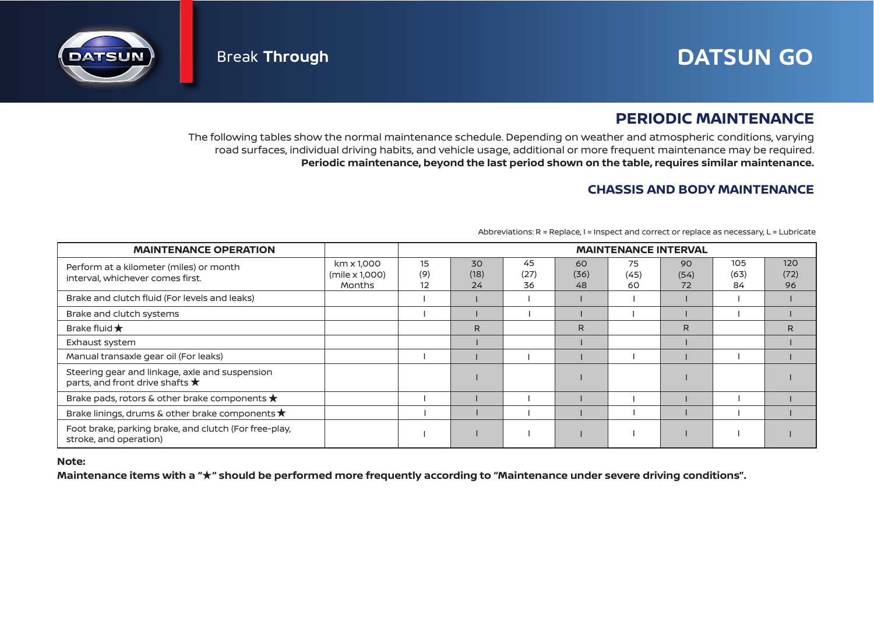# Break **Through DATSUN GO**



# **PERIODIC MAINTENANCE**

The following tables show the normal maintenance schedule. Depending on weather and atmospheric conditions, varying road surfaces, individual driving habits, and vehicle usage, additional or more frequent maintenance may be required. **Periodic maintenance, beyond the last period shown on the table, requires similar maintenance.**

# **CHASSIS AND BODY MAINTENANCE**

| <b>MAINTENANCE OPERATION</b>                                                               |                                        | <b>MAINTENANCE INTERVAL</b>  |                  |                  |                  |                  |                  |                   |                   |
|--------------------------------------------------------------------------------------------|----------------------------------------|------------------------------|------------------|------------------|------------------|------------------|------------------|-------------------|-------------------|
| Perform at a kilometer (miles) or month<br>interval, whichever comes first.                | km x 1,000<br>(mile x 1,000)<br>Months | 15<br>(9)<br>12 <sup>2</sup> | 30<br>(18)<br>24 | 45<br>(27)<br>36 | 60<br>(36)<br>48 | 75<br>(45)<br>60 | 90<br>(54)<br>72 | 105<br>(63)<br>84 | 120<br>(72)<br>96 |
| Brake and clutch fluid (For levels and leaks)                                              |                                        |                              |                  |                  |                  |                  |                  |                   |                   |
| Brake and clutch systems                                                                   |                                        |                              |                  |                  |                  |                  |                  |                   |                   |
| Brake fluid $\bigstar$                                                                     |                                        |                              | R.               |                  | R                |                  | R.               |                   | R                 |
| Exhaust system                                                                             |                                        |                              |                  |                  |                  |                  |                  |                   |                   |
| Manual transaxle gear oil (For leaks)                                                      |                                        |                              |                  |                  |                  |                  |                  |                   |                   |
| Steering gear and linkage, axle and suspension<br>parts, and front drive shafts $\bigstar$ |                                        |                              |                  |                  |                  |                  |                  |                   |                   |
| Brake pads, rotors & other brake components $\bigstar$                                     |                                        |                              |                  |                  |                  |                  |                  |                   |                   |
| Brake linings, drums & other brake components $\star$                                      |                                        |                              |                  |                  |                  |                  |                  |                   |                   |
| Foot brake, parking brake, and clutch (For free-play,<br>stroke, and operation)            |                                        |                              |                  |                  |                  |                  |                  |                   |                   |

Abbreviations: R = Replace, I = Inspect and correct or replace as necessary, L = Lubricate

### **Note:**

Maintenance items with a " $\star$ " should be performed more frequently according to "Maintenance under severe driving conditions".